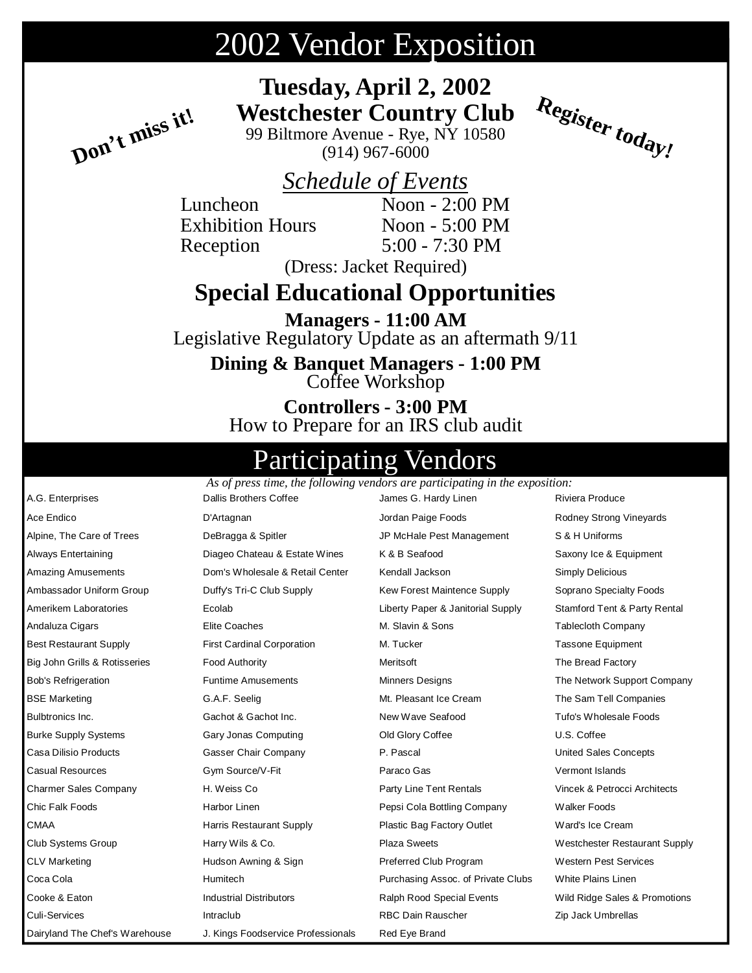# 2002 Vendor Exposition

**Tuesday, April 2, 2002 Westchester Country Club**

99 Biltmore Avenue - Rye, NY 10580 (914) 967-6000

### *Schedule of Events*

Reception 5:00 - 7:30 PM

**Don't miss it!**

Luncheon Noon - 2:00 PM Exhibition Hours Noon - 5:00 PM **Register today!**

(Dress: Jacket Required)

## **Special Educational Opportunities**

**Managers - 11:00 AM** Legislative Regulatory Update as an aftermath 9/11

**Dining & Banquet Managers - 1:00 PM** Coffee Workshop

**Controllers - 3:00 PM** How to Prepare for an IRS club audit

## pating Vendors

A.G. Enterprises Dallis Brothers Coffee James G. Hardy Linen Riviera Produce Ace Endico **Communist Communist Communist Communist Communist Communist Communist Communist Communist Communist Communist Communist Communist Communist Communist Communist Communist Communist Communist Communist Communist** Alpine, The Care of Trees DeBragga & Spitler JP McHale Pest Management S & H Uniforms Always Entertaining **State Later Chateau & Estate Wines** A & B Seafood **Chateau A B Seafood** Saxony Ice & Equipment Amazing Amusements **Mark Comet Comet Comet Amazing Amazing Amusement Comet Comet Comet Comet Comet Comet Comet Comet Comet Comet Comet Comet Comet Comet Comet Comet Comet Comet Comet Comet Comet Comet Comet Comet Comet Com** Ambassador Uniform Group **Duffy's Tri-C Club Supply** Kew Forest Maintence Supply Soprano Specialty Foods Amerikem Laboratories Ecolab Liberty Paper & Janitorial Supply Stamford Tent & Party Rental Andaluza Cigars **Elite Coaches** Elite Coaches M. Slavin & Sons Tablecloth Company Best Restaurant Supply **First Cardinal Corporation** M. Tucker M. Tucker Tassone Equipment Big John Grills & Rotisseries Food Authority **Meritsoft** Meritsoft **Meritsoft** The Bread Factory Bob's Refrigeration **Funtime Amusements** Minners Designs The Network Support Company BSE Marketing The Sam Tell Companies G.A.F. Seelig The Sam Tell Companies C.A.F. Seelig The Sam Tell Companies Bulbtronics Inc. Gachot & Gachot Inc. New Wave Seafood Tufo's Wholesale Foods Burke Supply Systems **Gary Jonas Computing** Computing Cold Glory Coffee **Connect Connect Connect** U.S. Coffee Casa Dilisio Products Gasser Chair Company P. Pascal United Sales Concepts Casual Resources Gym Source/V-Fit Paraco Gas Vermont Islands Charmer Sales Company H. Weiss Co Party Line Tent Rentals Vincek & Petrocci Architects Chic Falk Foods **Harbor Linen** Harbor Linen Pepsi Cola Bottling Company Walker Foods CMAA Harris Restaurant Supply Plastic Bag Factory Outlet Ward's Ice Cream Club Systems Group Harry Wils & Co. Plaza Sweets Westchester Restaurant Supply CLV Marketing Thudson Awning & Sign Preferred Club Program Western Pest Services Coca Cola **Cola Cola Cola Cola Humitech** Purchasing Assoc. of Private Clubs White Plains Linen Cooke & Eaton Industrial Distributors Ralph Rood Special Events Wild Ridge Sales & Promotions Culi-Services Intraclub RBC Dain Rauscher Zip Jack Umbrellas Dairyland The Chef's Warehouse J. Kings Foodservice Professionals Red Eye Brand *As of press time, the following vendors are participating in the exposition:*